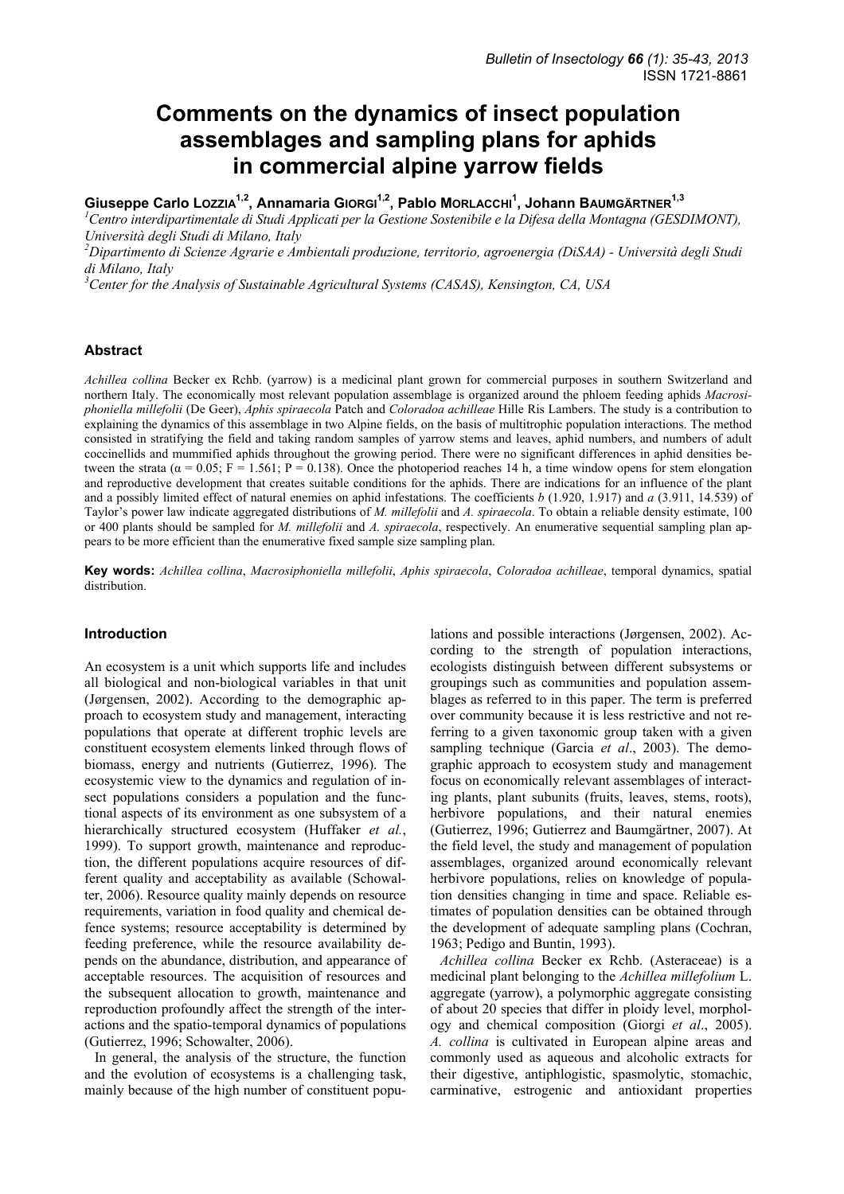# **Comments on the dynamics of insect population assemblages and sampling plans for aphids in commercial alpine yarrow fields**

**Giuseppe Carlo LOZZIA1,2, Annamaria GIORGI1,2, Pablo MORLACCHI1 , Johann BAUMGÄRTNER1,3**

<sup>1</sup> Centro interdipartimentale di Studi Applicati per la Gestione Sostenibile e la Difesa della Montagna (GESDIMONT), *Università degli Studi di Milano, Italy* 

*2 Dipartimento di Scienze Agrarie e Ambientali produzione, territorio, agroenergia (DiSAA) - Università degli Studi di Milano, Italy* 

*3 Center for the Analysis of Sustainable Agricultural Systems (CASAS), Kensington, CA, USA* 

# **Abstract**

*Achillea collina* Becker ex Rchb. (yarrow) is a medicinal plant grown for commercial purposes in southern Switzerland and northern Italy. The economically most relevant population assemblage is organized around the phloem feeding aphids *Macrosiphoniella millefolii* (De Geer), *Aphis spiraecola* Patch and *Coloradoa achilleae* Hille Ris Lambers. The study is a contribution to explaining the dynamics of this assemblage in two Alpine fields, on the basis of multitrophic population interactions. The method consisted in stratifying the field and taking random samples of yarrow stems and leaves, aphid numbers, and numbers of adult coccinellids and mummified aphids throughout the growing period. There were no significant differences in aphid densities between the strata ( $\alpha$  = 0.05; F = 1.561; P = 0.138). Once the photoperiod reaches 14 h, a time window opens for stem elongation and reproductive development that creates suitable conditions for the aphids. There are indications for an influence of the plant and a possibly limited effect of natural enemies on aphid infestations. The coefficients *b* (1.920, 1.917) and *a* (3.911, 14.539) of Taylor's power law indicate aggregated distributions of *M. millefolii* and *A. spiraecola*. To obtain a reliable density estimate, 100 or 400 plants should be sampled for *M. millefolii* and *A. spiraecola*, respectively. An enumerative sequential sampling plan appears to be more efficient than the enumerative fixed sample size sampling plan.

**Key words:** *Achillea collina*, *Macrosiphoniella millefolii*, *Aphis spiraecola*, *Coloradoa achilleae*, temporal dynamics, spatial distribution.

# **Introduction**

An ecosystem is a unit which supports life and includes all biological and non-biological variables in that unit (Jørgensen, 2002). According to the demographic approach to ecosystem study and management, interacting populations that operate at different trophic levels are constituent ecosystem elements linked through flows of biomass, energy and nutrients (Gutierrez, 1996). The ecosystemic view to the dynamics and regulation of insect populations considers a population and the functional aspects of its environment as one subsystem of a hierarchically structured ecosystem (Huffaker *et al.*, 1999). To support growth, maintenance and reproduction, the different populations acquire resources of different quality and acceptability as available (Schowalter, 2006). Resource quality mainly depends on resource requirements, variation in food quality and chemical defence systems; resource acceptability is determined by feeding preference, while the resource availability depends on the abundance, distribution, and appearance of acceptable resources. The acquisition of resources and the subsequent allocation to growth, maintenance and reproduction profoundly affect the strength of the interactions and the spatio-temporal dynamics of populations (Gutierrez, 1996; Schowalter, 2006).

In general, the analysis of the structure, the function and the evolution of ecosystems is a challenging task, mainly because of the high number of constituent popu-

lations and possible interactions (Jørgensen, 2002). According to the strength of population interactions, ecologists distinguish between different subsystems or groupings such as communities and population assemblages as referred to in this paper. The term is preferred over community because it is less restrictive and not referring to a given taxonomic group taken with a given sampling technique (Garcia *et al*., 2003). The demographic approach to ecosystem study and management focus on economically relevant assemblages of interacting plants, plant subunits (fruits, leaves, stems, roots), herbivore populations, and their natural enemies (Gutierrez, 1996; Gutierrez and Baumgärtner, 2007). At the field level, the study and management of population assemblages, organized around economically relevant herbivore populations, relies on knowledge of population densities changing in time and space. Reliable estimates of population densities can be obtained through the development of adequate sampling plans (Cochran, 1963; Pedigo and Buntin, 1993).

*Achillea collina* Becker ex Rchb. (Asteraceae) is a medicinal plant belonging to the *Achillea millefolium* L. aggregate (yarrow), a polymorphic aggregate consisting of about 20 species that differ in ploidy level, morphology and chemical composition (Giorgi *et al*., 2005). *A. collina* is cultivated in European alpine areas and commonly used as aqueous and alcoholic extracts for their digestive, antiphlogistic, spasmolytic, stomachic, carminative, estrogenic and antioxidant properties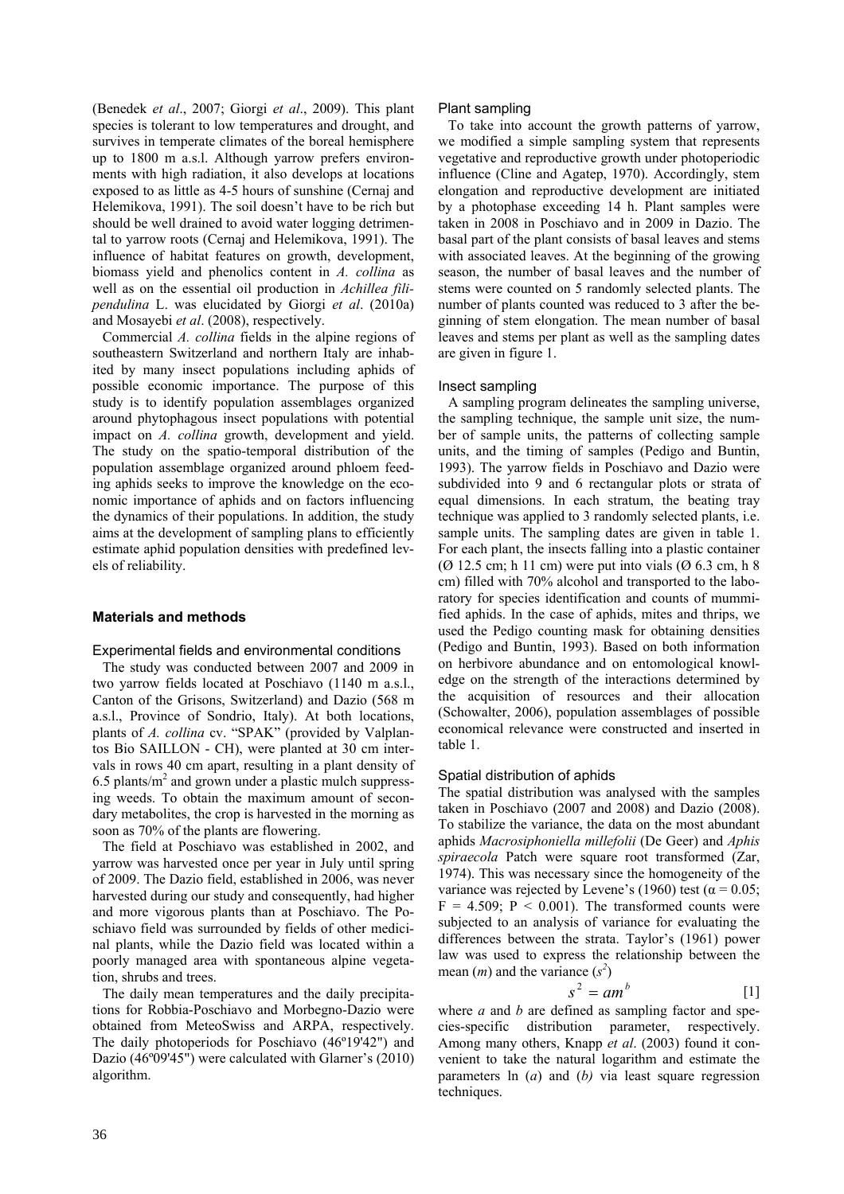(Benedek *et al*., 2007; Giorgi *et al*., 2009). This plant species is tolerant to low temperatures and drought, and survives in temperate climates of the boreal hemisphere up to 1800 m a.s.l. Although yarrow prefers environments with high radiation, it also develops at locations exposed to as little as 4-5 hours of sunshine (Cernaj and Helemikova, 1991). The soil doesn't have to be rich but should be well drained to avoid water logging detrimental to yarrow roots (Cernaj and Helemikova, 1991). The influence of habitat features on growth, development, biomass yield and phenolics content in *A. collina* as well as on the essential oil production in *Achillea filipendulina* L. was elucidated by Giorgi *et al*. (2010a) and Mosayebi *et al*. (2008), respectively.

Commercial *A. collina* fields in the alpine regions of southeastern Switzerland and northern Italy are inhabited by many insect populations including aphids of possible economic importance. The purpose of this study is to identify population assemblages organized around phytophagous insect populations with potential impact on *A. collina* growth, development and yield. The study on the spatio-temporal distribution of the population assemblage organized around phloem feeding aphids seeks to improve the knowledge on the economic importance of aphids and on factors influencing the dynamics of their populations. In addition, the study aims at the development of sampling plans to efficiently estimate aphid population densities with predefined levels of reliability.

# **Materials and methods**

# Experimental fields and environmental conditions

The study was conducted between 2007 and 2009 in two yarrow fields located at Poschiavo (1140 m a.s.l., Canton of the Grisons, Switzerland) and Dazio (568 m a.s.l., Province of Sondrio, Italy). At both locations, plants of *A. collina* cv. "SPAK" (provided by Valplantos Bio SAILLON - CH), were planted at 30 cm intervals in rows 40 cm apart, resulting in a plant density of  $6.5$  plants/ $m<sup>2</sup>$  and grown under a plastic mulch suppressing weeds. To obtain the maximum amount of secondary metabolites, the crop is harvested in the morning as soon as 70% of the plants are flowering.

The field at Poschiavo was established in 2002, and yarrow was harvested once per year in July until spring of 2009. The Dazio field, established in 2006, was never harvested during our study and consequently, had higher and more vigorous plants than at Poschiavo. The Poschiavo field was surrounded by fields of other medicinal plants, while the Dazio field was located within a poorly managed area with spontaneous alpine vegetation, shrubs and trees.

The daily mean temperatures and the daily precipitations for Robbia-Poschiavo and Morbegno-Dazio were obtained from MeteoSwiss and ARPA, respectively. The daily photoperiods for Poschiavo (46º19'42") and Dazio (46º09'45") were calculated with Glarner's (2010) algorithm.

## Plant sampling

To take into account the growth patterns of yarrow, we modified a simple sampling system that represents vegetative and reproductive growth under photoperiodic influence (Cline and Agatep, 1970). Accordingly, stem elongation and reproductive development are initiated by a photophase exceeding 14 h. Plant samples were taken in 2008 in Poschiavo and in 2009 in Dazio. The basal part of the plant consists of basal leaves and stems with associated leaves. At the beginning of the growing season, the number of basal leaves and the number of stems were counted on 5 randomly selected plants. The number of plants counted was reduced to 3 after the beginning of stem elongation. The mean number of basal leaves and stems per plant as well as the sampling dates are given in figure 1.

## Insect sampling

A sampling program delineates the sampling universe, the sampling technique, the sample unit size, the number of sample units, the patterns of collecting sample units, and the timing of samples (Pedigo and Buntin, 1993). The yarrow fields in Poschiavo and Dazio were subdivided into 9 and 6 rectangular plots or strata of equal dimensions. In each stratum, the beating tray technique was applied to 3 randomly selected plants, i.e. sample units. The sampling dates are given in table 1. For each plant, the insects falling into a plastic container ( $\varnothing$  12.5 cm; h 11 cm) were put into vials ( $\varnothing$  6.3 cm, h 8 cm) filled with 70% alcohol and transported to the laboratory for species identification and counts of mummified aphids. In the case of aphids, mites and thrips, we used the Pedigo counting mask for obtaining densities (Pedigo and Buntin, 1993). Based on both information on herbivore abundance and on entomological knowledge on the strength of the interactions determined by the acquisition of resources and their allocation (Schowalter, 2006), population assemblages of possible economical relevance were constructed and inserted in table 1.

# Spatial distribution of aphids

The spatial distribution was analysed with the samples taken in Poschiavo (2007 and 2008) and Dazio (2008). To stabilize the variance, the data on the most abundant aphids *Macrosiphoniella millefolii* (De Geer) and *Aphis spiraecola* Patch were square root transformed (Zar, 1974). This was necessary since the homogeneity of the variance was rejected by Levene's (1960) test ( $\alpha$  = 0.05;  $F = 4.509$ ;  $P < 0.001$ ). The transformed counts were subjected to an analysis of variance for evaluating the differences between the strata. Taylor's (1961) power law was used to express the relationship between the mean  $(m)$  and the variance  $(s^2)$ 

$$
s^2 = am^b \qquad [1]
$$

where *a* and *b* are defined as sampling factor and species-specific distribution parameter, respectively. Among many others, Knapp *et al*. (2003) found it convenient to take the natural logarithm and estimate the parameters ln (*a*) and (*b)* via least square regression techniques.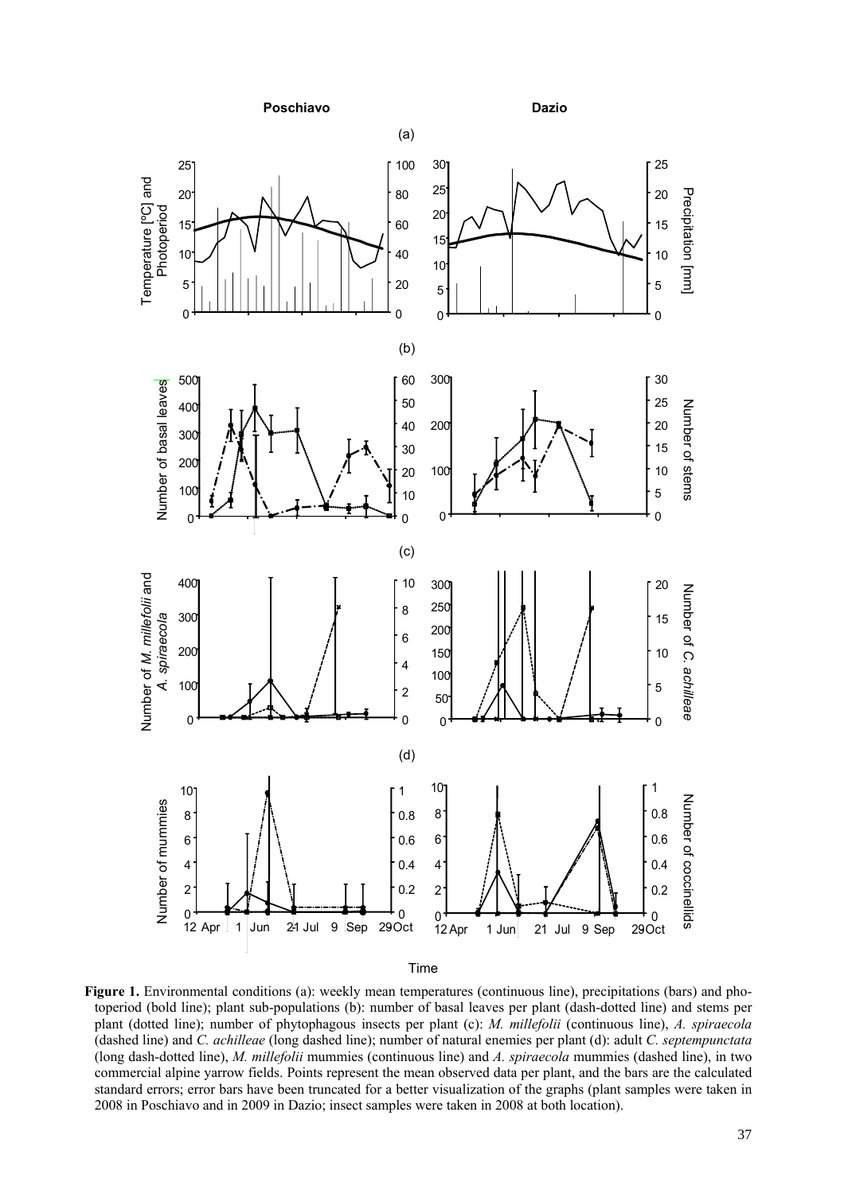Poschiavo Dazio



Time

**Figure 1.** Environmental conditions (a): weekly mean temperatures (continuous line), precipitations (bars) and photoperiod (bold line); plant sub-populations (b): number of basal leaves per plant (dash-dotted line) and stems per plant (dotted line); number of phytophagous insects per plant (c): *M. millefolii* (continuous line), *A. spiraecola* (dashed line) and *C. achilleae* (long dashed line); number of natural enemies per plant (d): adult *C. septempunctata* (long dash-dotted line), *M. millefolii* mummies (continuous line) and *A. spiraecola* mummies (dashed line), in two commercial alpine yarrow fields. Points represent the mean observed data per plant, and the bars are the calculated standard errors; error bars have been truncated for a better visualization of the graphs (plant samples were taken in 2008 in Poschiavo and in 2009 in Dazio; insect samples were taken in 2008 at both location).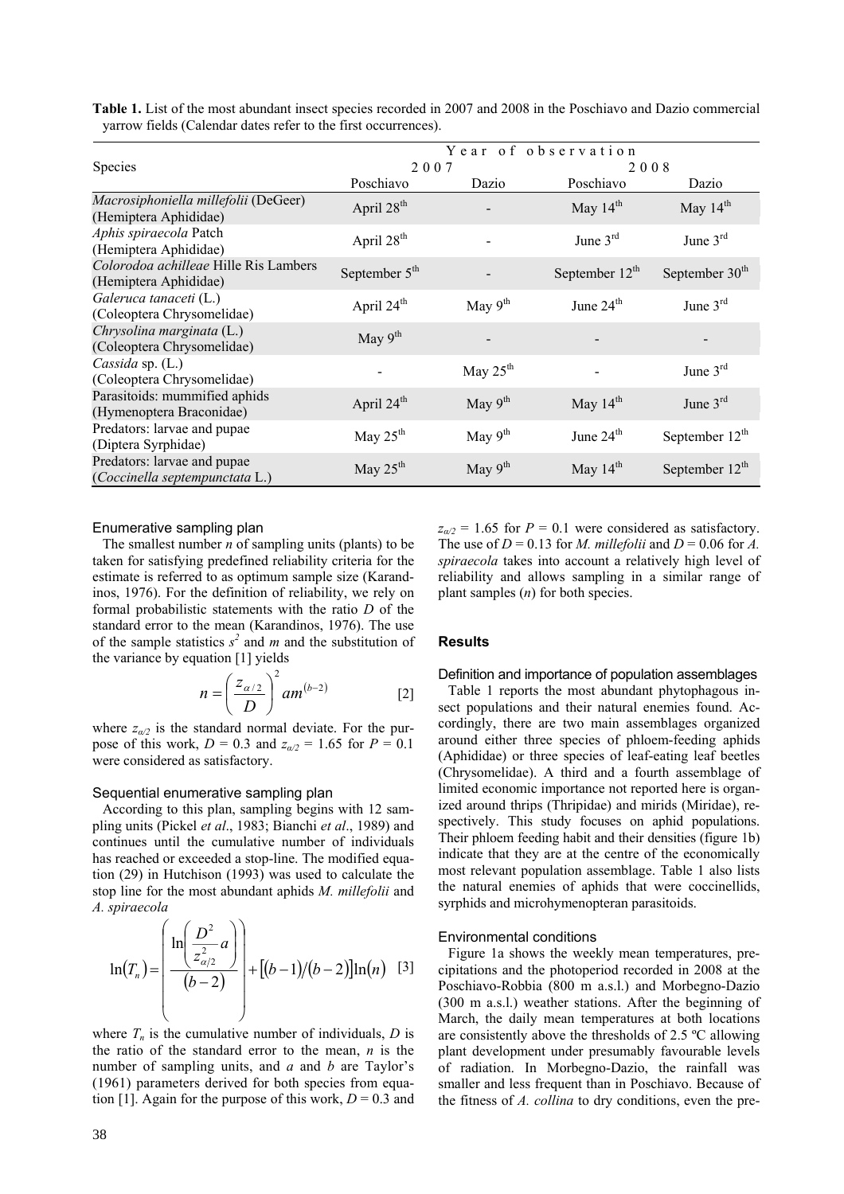|                                                                | Year of observation    |              |                     |                            |
|----------------------------------------------------------------|------------------------|--------------|---------------------|----------------------------|
| <b>Species</b>                                                 | 2007                   |              | 2008                |                            |
|                                                                | Poschiavo              | Dazio        | Poschiavo           | Dazio                      |
| Macrosiphoniella millefolii (DeGeer)<br>(Hemiptera Aphididae)  | April 28 <sup>th</sup> |              | May $14th$          | May $14th$                 |
| Aphis spiraecola Patch<br>(Hemiptera Aphididae)                | April 28 <sup>th</sup> |              | June $3rd$          | June $3rd$                 |
| Colorodoa achilleae Hille Ris Lambers<br>(Hemiptera Aphididae) | September $5th$        |              | September $12^{th}$ | September 30 <sup>th</sup> |
| Galeruca tanaceti (L.)<br>(Coleoptera Chrysomelidae)           | April 24 <sup>th</sup> | May $9th$    | June $24th$         | June $3^{rd}$              |
| Chrysolina marginata (L.)<br>(Coleoptera Chrysomelidae)        | May $9th$              |              |                     |                            |
| Cassida sp. $(L.)$<br>(Coleoptera Chrysomelidae)               |                        | May $25th$   |                     | June $3rd$                 |
| Parasitoids: mummified aphids<br>(Hymenoptera Braconidae)      | April 24 <sup>th</sup> | May $9^{th}$ | May $14^{th}$       | June $3^{rd}$              |
| Predators: larvae and pupae<br>(Diptera Syrphidae)             | May $25th$             | May $9th$    | June $24th$         | September $12^{th}$        |
| Predators: larvae and pupae<br>(Coccinella septempunctata L.)  | May $25th$             | May $9th$    | May $14th$          | September $12th$           |

**Table 1.** List of the most abundant insect species recorded in 2007 and 2008 in the Poschiavo and Dazio commercial yarrow fields (Calendar dates refer to the first occurrences).

## Enumerative sampling plan

The smallest number *n* of sampling units (plants) to be taken for satisfying predefined reliability criteria for the estimate is referred to as optimum sample size (Karandinos, 1976). For the definition of reliability, we rely on formal probabilistic statements with the ratio *D* of the standard error to the mean (Karandinos, 1976). The use of the sample statistics  $s^2$  and *m* and the substitution of the variance by equation [1] yields

$$
n = \left(\frac{z_{\alpha/2}}{D}\right)^2 a m^{(b-2)} \tag{2}
$$

where  $z_{\alpha/2}$  is the standard normal deviate. For the purpose of this work,  $D = 0.3$  and  $z_{\alpha/2} = 1.65$  for  $P = 0.1$ were considered as satisfactory.

# Sequential enumerative sampling plan

According to this plan, sampling begins with 12 sampling units (Pickel *et al*., 1983; Bianchi *et al*., 1989) and continues until the cumulative number of individuals has reached or exceeded a stop-line. The modified equation (29) in Hutchison (1993) was used to calculate the stop line for the most abundant aphids *M. millefolii* and *A. spiraecola*

$$
\ln(T_n) = \left(\frac{\ln\left(\frac{D^2}{z_{\alpha/2}^2}a\right)}{(b-2)}\right) + \left[(b-1)/(b-2)\right]\ln(n) \quad [3]
$$

where  $T_n$  is the cumulative number of individuals,  $D$  is the ratio of the standard error to the mean, *n* is the number of sampling units, and *a* and *b* are Taylor's (1961) parameters derived for both species from equation [1]. Again for the purpose of this work,  $D = 0.3$  and  $z_{\alpha/2} = 1.65$  for  $P = 0.1$  were considered as satisfactory. The use of  $D = 0.13$  for *M. millefolii* and  $D = 0.06$  for *A. spiraecola* takes into account a relatively high level of reliability and allows sampling in a similar range of plant samples (*n*) for both species.

# **Results**

# Definition and importance of population assemblages

Table 1 reports the most abundant phytophagous insect populations and their natural enemies found. Accordingly, there are two main assemblages organized around either three species of phloem-feeding aphids (Aphididae) or three species of leaf-eating leaf beetles (Chrysomelidae). A third and a fourth assemblage of limited economic importance not reported here is organized around thrips (Thripidae) and mirids (Miridae), respectively. This study focuses on aphid populations. Their phloem feeding habit and their densities (figure 1b) indicate that they are at the centre of the economically most relevant population assemblage. Table 1 also lists the natural enemies of aphids that were coccinellids, syrphids and microhymenopteran parasitoids.

# Environmental conditions

Figure 1a shows the weekly mean temperatures, precipitations and the photoperiod recorded in 2008 at the Poschiavo-Robbia (800 m a.s.l.) and Morbegno-Dazio (300 m a.s.l.) weather stations. After the beginning of March, the daily mean temperatures at both locations are consistently above the thresholds of 2.5 ºC allowing plant development under presumably favourable levels of radiation. In Morbegno-Dazio, the rainfall was smaller and less frequent than in Poschiavo. Because of the fitness of *A. collina* to dry conditions, even the pre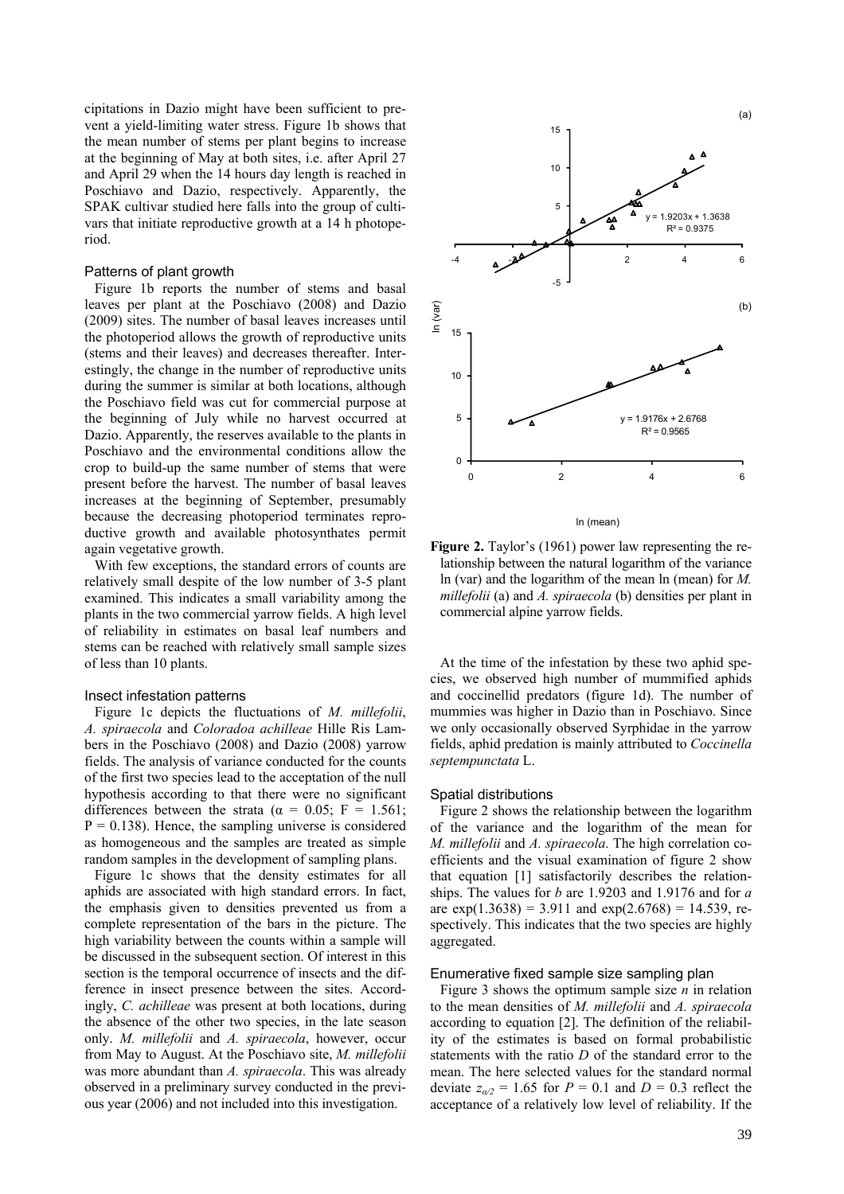cipitations in Dazio might have been sufficient to prevent a yield-limiting water stress. Figure 1b shows that the mean number of stems per plant begins to increase at the beginning of May at both sites, i.e. after April 27 and April 29 when the 14 hours day length is reached in Poschiavo and Dazio, respectively. Apparently, the SPAK cultivar studied here falls into the group of cultivars that initiate reproductive growth at a 14 h photoperiod.

# Patterns of plant growth

Figure 1b reports the number of stems and basal leaves per plant at the Poschiavo (2008) and Dazio (2009) sites. The number of basal leaves increases until the photoperiod allows the growth of reproductive units (stems and their leaves) and decreases thereafter. Interestingly, the change in the number of reproductive units during the summer is similar at both locations, although the Poschiavo field was cut for commercial purpose at the beginning of July while no harvest occurred at Dazio. Apparently, the reserves available to the plants in Poschiavo and the environmental conditions allow the crop to build-up the same number of stems that were present before the harvest. The number of basal leaves increases at the beginning of September, presumably because the decreasing photoperiod terminates reproductive growth and available photosynthates permit again vegetative growth.

With few exceptions, the standard errors of counts are relatively small despite of the low number of 3-5 plant examined. This indicates a small variability among the plants in the two commercial yarrow fields. A high level of reliability in estimates on basal leaf numbers and stems can be reached with relatively small sample sizes of less than 10 plants.

#### Insect infestation patterns

Figure 1c depicts the fluctuations of *M. millefolii*, *A. spiraecola* and *Coloradoa achilleae* Hille Ris Lambers in the Poschiavo (2008) and Dazio (2008) yarrow fields. The analysis of variance conducted for the counts of the first two species lead to the acceptation of the null hypothesis according to that there were no significant differences between the strata ( $\alpha = 0.05$ ; F = 1.561;  $P = 0.138$ ). Hence, the sampling universe is considered as homogeneous and the samples are treated as simple random samples in the development of sampling plans.

Figure 1c shows that the density estimates for all aphids are associated with high standard errors. In fact, the emphasis given to densities prevented us from a complete representation of the bars in the picture. The high variability between the counts within a sample will be discussed in the subsequent section. Of interest in this section is the temporal occurrence of insects and the difference in insect presence between the sites. Accordingly, *C. achilleae* was present at both locations, during the absence of the other two species, in the late season only. *M. millefolii* and *A. spiraecola*, however, occur from May to August. At the Poschiavo site, *M. millefolii* was more abundant than *A. spiraecola*. This was already observed in a preliminary survey conducted in the previous year (2006) and not included into this investigation.



ln (mean)

**Figure 2.** Taylor's (1961) power law representing the relationship between the natural logarithm of the variance ln (var) and the logarithm of the mean ln (mean) for *M. millefolii* (a) and *A. spiraecola* (b) densities per plant in commercial alpine yarrow fields.

At the time of the infestation by these two aphid species, we observed high number of mummified aphids and coccinellid predators (figure 1d). The number of mummies was higher in Dazio than in Poschiavo. Since we only occasionally observed Syrphidae in the yarrow fields, aphid predation is mainly attributed to *Coccinella septempunctata* L.

#### Spatial distributions

Figure 2 shows the relationship between the logarithm of the variance and the logarithm of the mean for *M. millefolii* and *A. spiraecola*. The high correlation coefficients and the visual examination of figure 2 show that equation [1] satisfactorily describes the relationships. The values for *b* are 1.9203 and 1.9176 and for *a*  are  $exp(1.3638) = 3.911$  and  $exp(2.6768) = 14.539$ , respectively. This indicates that the two species are highly aggregated.

#### Enumerative fixed sample size sampling plan

Figure 3 shows the optimum sample size *n* in relation to the mean densities of *M. millefolii* and *A. spiraecola* according to equation [2]. The definition of the reliability of the estimates is based on formal probabilistic statements with the ratio *D* of the standard error to the mean. The here selected values for the standard normal deviate  $z_{\alpha/2} = 1.65$  for  $P = 0.1$  and  $D = 0.3$  reflect the acceptance of a relatively low level of reliability. If the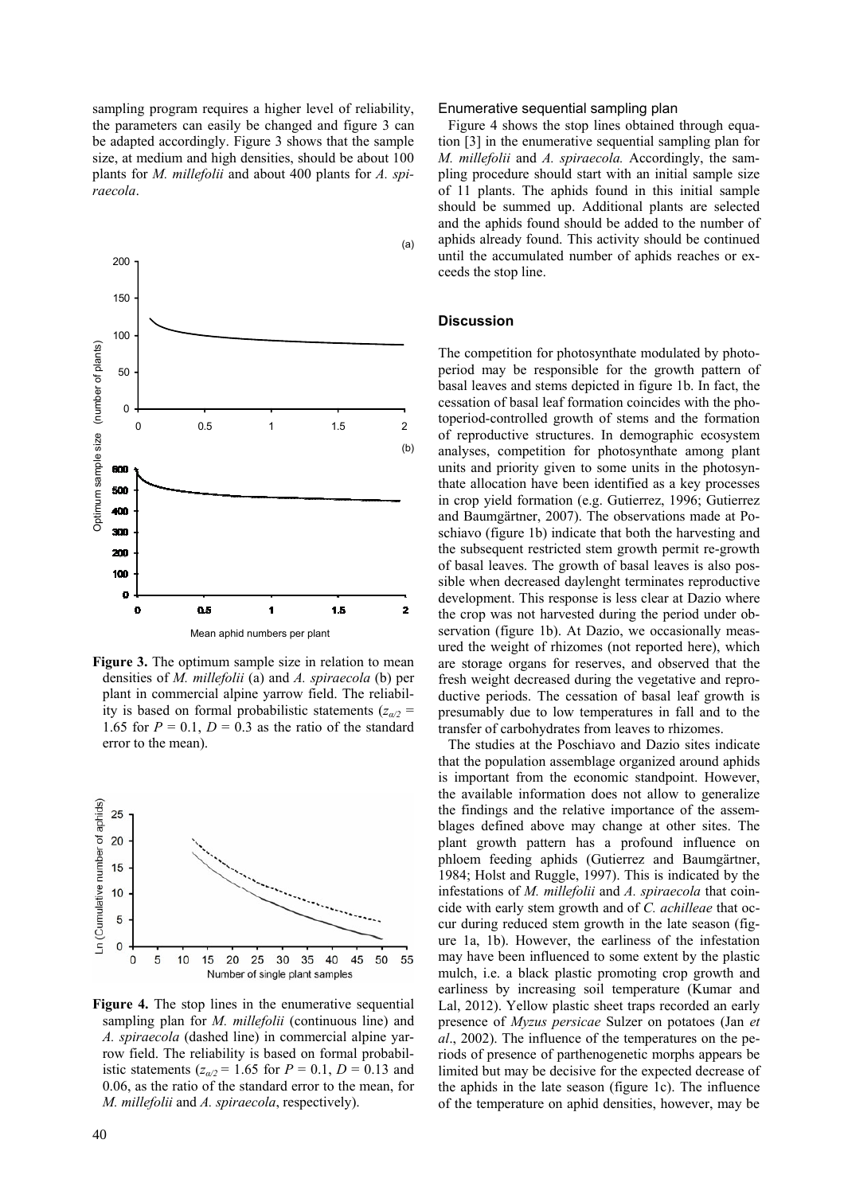sampling program requires a higher level of reliability, the parameters can easily be changed and figure 3 can be adapted accordingly. Figure 3 shows that the sample size, at medium and high densities, should be about 100 plants for *M. millefolii* and about 400 plants for *A. spiraecola*.



**Figure 3.** The optimum sample size in relation to mean densities of *M. millefolii* (a) and *A. spiraecola* (b) per plant in commercial alpine yarrow field. The reliability is based on formal probabilistic statements ( $z_{\alpha/2}$  = 1.65 for  $P = 0.1$ ,  $D = 0.3$  as the ratio of the standard error to the mean).



**Figure 4.** The stop lines in the enumerative sequential sampling plan for *M. millefolii* (continuous line) and *A. spiraecola* (dashed line) in commercial alpine yarrow field. The reliability is based on formal probabilistic statements  $(z_{a/2} = 1.65$  for  $P = 0.1$ ,  $D = 0.13$  and 0.06, as the ratio of the standard error to the mean, for *M. millefolii* and *A. spiraecola*, respectively).

#### Enumerative sequential sampling plan

Figure 4 shows the stop lines obtained through equation [3] in the enumerative sequential sampling plan for *M. millefolii* and *A. spiraecola.* Accordingly, the sampling procedure should start with an initial sample size of 11 plants. The aphids found in this initial sample should be summed up. Additional plants are selected and the aphids found should be added to the number of aphids already found. This activity should be continued until the accumulated number of aphids reaches or exceeds the stop line.

## **Discussion**

The competition for photosynthate modulated by photoperiod may be responsible for the growth pattern of basal leaves and stems depicted in figure 1b. In fact, the cessation of basal leaf formation coincides with the photoperiod-controlled growth of stems and the formation of reproductive structures. In demographic ecosystem analyses, competition for photosynthate among plant units and priority given to some units in the photosynthate allocation have been identified as a key processes in crop yield formation (e.g. Gutierrez, 1996; Gutierrez and Baumgärtner, 2007). The observations made at Poschiavo (figure 1b) indicate that both the harvesting and the subsequent restricted stem growth permit re-growth of basal leaves. The growth of basal leaves is also possible when decreased daylenght terminates reproductive development. This response is less clear at Dazio where the crop was not harvested during the period under observation (figure 1b). At Dazio, we occasionally measured the weight of rhizomes (not reported here), which are storage organs for reserves, and observed that the fresh weight decreased during the vegetative and reproductive periods. The cessation of basal leaf growth is presumably due to low temperatures in fall and to the transfer of carbohydrates from leaves to rhizomes.

The studies at the Poschiavo and Dazio sites indicate that the population assemblage organized around aphids is important from the economic standpoint. However, the available information does not allow to generalize the findings and the relative importance of the assemblages defined above may change at other sites. The plant growth pattern has a profound influence on phloem feeding aphids (Gutierrez and Baumgärtner, 1984; Holst and Ruggle, 1997). This is indicated by the infestations of *M. millefolii* and *A. spiraecola* that coincide with early stem growth and of *C. achilleae* that occur during reduced stem growth in the late season (figure 1a, 1b). However, the earliness of the infestation may have been influenced to some extent by the plastic mulch, i.e. a black plastic promoting crop growth and earliness by increasing soil temperature (Kumar and Lal, 2012). Yellow plastic sheet traps recorded an early presence of *Myzus persicae* Sulzer on potatoes (Jan *et al*., 2002). The influence of the temperatures on the periods of presence of parthenogenetic morphs appears be limited but may be decisive for the expected decrease of the aphids in the late season (figure 1c). The influence of the temperature on aphid densities, however, may be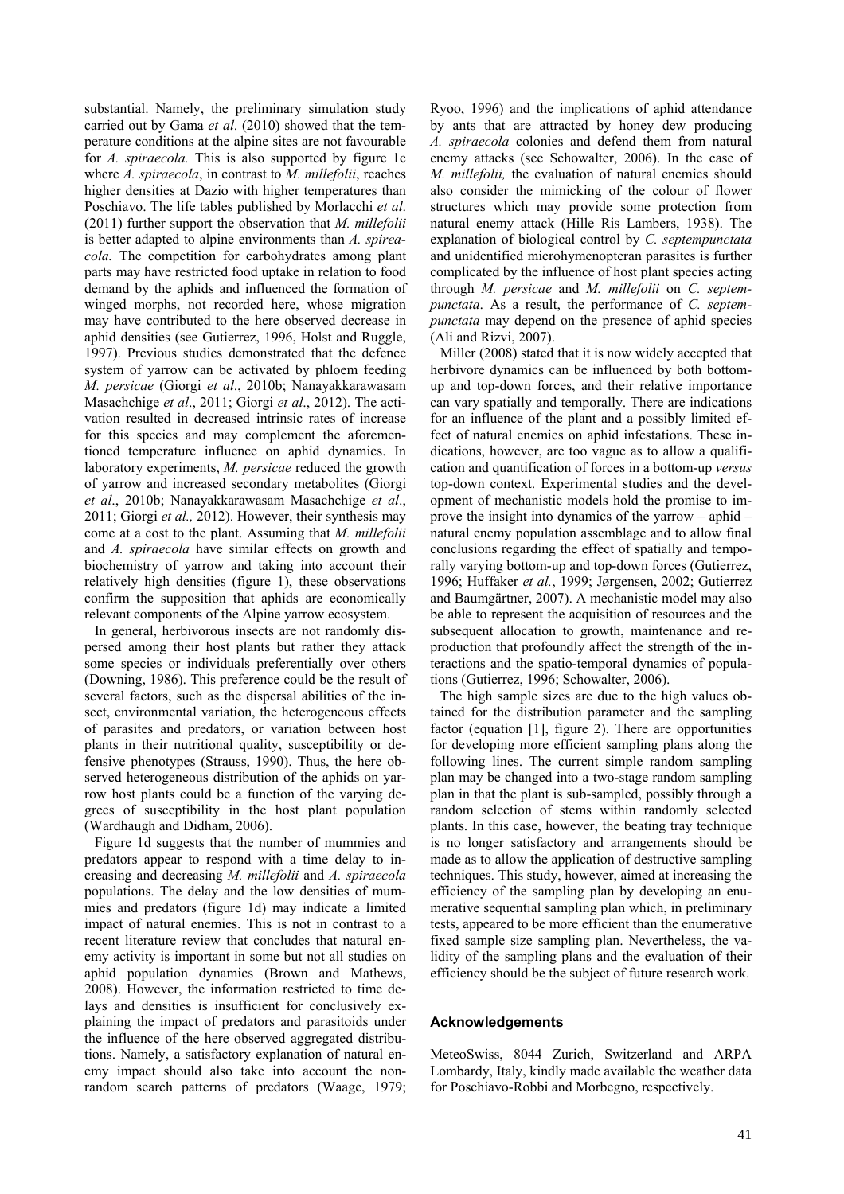substantial. Namely, the preliminary simulation study carried out by Gama *et al*. (2010) showed that the temperature conditions at the alpine sites are not favourable for *A. spiraecola.* This is also supported by figure 1c where *A. spiraecola*, in contrast to *M. millefolii*, reaches higher densities at Dazio with higher temperatures than Poschiavo. The life tables published by Morlacchi *et al*. (2011) further support the observation that *M. millefolii*  is better adapted to alpine environments than *A. spireacola.* The competition for carbohydrates among plant parts may have restricted food uptake in relation to food demand by the aphids and influenced the formation of winged morphs, not recorded here, whose migration may have contributed to the here observed decrease in aphid densities (see Gutierrez, 1996, Holst and Ruggle, 1997). Previous studies demonstrated that the defence system of yarrow can be activated by phloem feeding *M. persicae* (Giorgi *et al*., 2010b; Nanayakkarawasam Masachchige *et al*., 2011; Giorgi *et al*., 2012). The activation resulted in decreased intrinsic rates of increase for this species and may complement the aforementioned temperature influence on aphid dynamics. In laboratory experiments, *M. persicae* reduced the growth of yarrow and increased secondary metabolites (Giorgi *et al*., 2010b; Nanayakkarawasam Masachchige *et al*., 2011; Giorgi *et al.,* 2012). However, their synthesis may come at a cost to the plant. Assuming that *M. millefolii* and *A. spiraecola* have similar effects on growth and biochemistry of yarrow and taking into account their relatively high densities (figure 1), these observations confirm the supposition that aphids are economically relevant components of the Alpine yarrow ecosystem.

In general, herbivorous insects are not randomly dispersed among their host plants but rather they attack some species or individuals preferentially over others (Downing, 1986). This preference could be the result of several factors, such as the dispersal abilities of the insect, environmental variation, the heterogeneous effects of parasites and predators, or variation between host plants in their nutritional quality, susceptibility or defensive phenotypes (Strauss, 1990). Thus, the here observed heterogeneous distribution of the aphids on yarrow host plants could be a function of the varying degrees of susceptibility in the host plant population (Wardhaugh and Didham, 2006).

Figure 1d suggests that the number of mummies and predators appear to respond with a time delay to increasing and decreasing *M. millefolii* and *A. spiraecola*  populations. The delay and the low densities of mummies and predators (figure 1d) may indicate a limited impact of natural enemies. This is not in contrast to a recent literature review that concludes that natural enemy activity is important in some but not all studies on aphid population dynamics (Brown and Mathews, 2008). However, the information restricted to time delays and densities is insufficient for conclusively explaining the impact of predators and parasitoids under the influence of the here observed aggregated distributions. Namely, a satisfactory explanation of natural enemy impact should also take into account the nonrandom search patterns of predators (Waage, 1979;

Ryoo, 1996) and the implications of aphid attendance by ants that are attracted by honey dew producing *A. spiraecola* colonies and defend them from natural enemy attacks (see Schowalter, 2006). In the case of *M. millefolii,* the evaluation of natural enemies should also consider the mimicking of the colour of flower structures which may provide some protection from natural enemy attack (Hille Ris Lambers, 1938). The explanation of biological control by *C. septempunctata* and unidentified microhymenopteran parasites is further complicated by the influence of host plant species acting through *M. persicae* and *M. millefolii* on *C. septempunctata*. As a result, the performance of *C. septempunctata* may depend on the presence of aphid species (Ali and Rizvi, 2007).

Miller (2008) stated that it is now widely accepted that herbivore dynamics can be influenced by both bottomup and top-down forces, and their relative importance can vary spatially and temporally. There are indications for an influence of the plant and a possibly limited effect of natural enemies on aphid infestations. These indications, however, are too vague as to allow a qualification and quantification of forces in a bottom-up *versus* top-down context. Experimental studies and the development of mechanistic models hold the promise to improve the insight into dynamics of the yarrow – aphid – natural enemy population assemblage and to allow final conclusions regarding the effect of spatially and temporally varying bottom-up and top-down forces (Gutierrez, 1996; Huffaker *et al.*, 1999; Jørgensen, 2002; Gutierrez and Baumgärtner, 2007). A mechanistic model may also be able to represent the acquisition of resources and the subsequent allocation to growth, maintenance and reproduction that profoundly affect the strength of the interactions and the spatio-temporal dynamics of populations (Gutierrez, 1996; Schowalter, 2006).

The high sample sizes are due to the high values obtained for the distribution parameter and the sampling factor (equation [1], figure 2). There are opportunities for developing more efficient sampling plans along the following lines. The current simple random sampling plan may be changed into a two-stage random sampling plan in that the plant is sub-sampled, possibly through a random selection of stems within randomly selected plants. In this case, however, the beating tray technique is no longer satisfactory and arrangements should be made as to allow the application of destructive sampling techniques. This study, however, aimed at increasing the efficiency of the sampling plan by developing an enumerative sequential sampling plan which, in preliminary tests, appeared to be more efficient than the enumerative fixed sample size sampling plan. Nevertheless, the validity of the sampling plans and the evaluation of their efficiency should be the subject of future research work.

# **Acknowledgements**

MeteoSwiss, 8044 Zurich, Switzerland and ARPA Lombardy, Italy, kindly made available the weather data for Poschiavo-Robbi and Morbegno, respectively.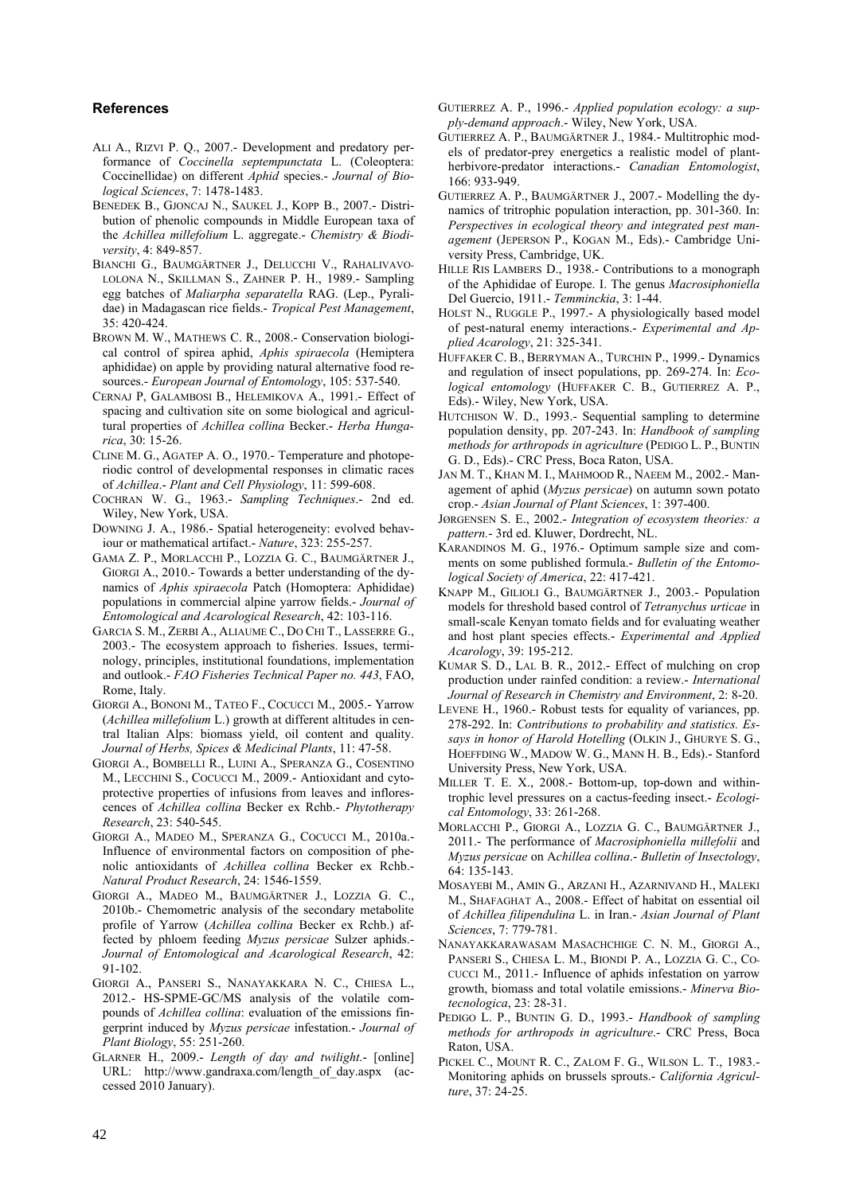# **References**

- ALI A., RIZVI P. Q., 2007.- Development and predatory performance of *Coccinella septempunctata* L. (Coleoptera: Coccinellidae) on different *Aphid* species.- *Journal of Biological Sciences*, 7: 1478-1483.
- BENEDEK B., GJONCAJ N., SAUKEL J., KOPP B., 2007.- Distribution of phenolic compounds in Middle European taxa of the *Achillea millefolium* L. aggregate.- *Chemistry & Biodiversity*, 4: 849-857.
- BIANCHI G., BAUMGÄRTNER J., DELUCCHI V., RAHALIVAVO-LOLONA N., SKILLMAN S., ZAHNER P. H., 1989.- Sampling egg batches of *Maliarpha separatella* RAG. (Lep., Pyralidae) in Madagascan rice fields.- *Tropical Pest Management*,  $35 \cdot 420 - 424$
- BROWN M. W., MATHEWS C. R., 2008.- Conservation biological control of spirea aphid, *Aphis spiraecola* (Hemiptera aphididae) on apple by providing natural alternative food resources.- *European Journal of Entomology*, 105: 537-540.
- CERNAJ P, GALAMBOSI B., HELEMIKOVA A., 1991.- Effect of spacing and cultivation site on some biological and agricultural properties of *Achillea collina* Becker.- *Herba Hungarica*, 30: 15-26.
- CLINE M. G., AGATEP A. O., 1970.- Temperature and photoperiodic control of developmental responses in climatic races of *Achillea*.- *Plant and Cell Physiology*, 11: 599-608.
- COCHRAN W. G., 1963.- *Sampling Techniques*.- 2nd ed. Wiley, New York, USA.
- DOWNING J. A., 1986.- Spatial heterogeneity: evolved behaviour or mathematical artifact.- *Nature*, 323: 255-257.
- GAMA Z. P., MORLACCHI P., LOZZIA G. C., BAUMGÄRTNER J., GIORGI A., 2010.- Towards a better understanding of the dynamics of *Aphis spiraecola* Patch (Homoptera: Aphididae) populations in commercial alpine yarrow fields.- *Journal of Entomological and Acarological Research*, 42: 103-116.
- GARCIA S. M., ZERBI A., ALIAUME C., DO CHI T., LASSERRE G., 2003.- The ecosystem approach to fisheries. Issues, terminology, principles, institutional foundations, implementation and outlook.- *FAO Fisheries Technical Paper no. 443*, FAO, Rome, Italy.
- GIORGI A., BONONI M., TATEO F., COCUCCI M., 2005.- Yarrow (*Achillea millefolium* L.) growth at different altitudes in central Italian Alps: biomass yield, oil content and quality. *Journal of Herbs, Spices & Medicinal Plants*, 11: 47-58.
- GIORGI A., BOMBELLI R., LUINI A., SPERANZA G., COSENTINO M., LECCHINI S., COCUCCI M., 2009.- Antioxidant and cytoprotective properties of infusions from leaves and inflorescences of *Achillea collina* Becker ex Rchb.- *Phytotherapy Research*, 23: 540-545.
- GIORGI A., MADEO M., SPERANZA G., COCUCCI M., 2010a.- Influence of environmental factors on composition of phenolic antioxidants of *Achillea collina* Becker ex Rchb.- *Natural Product Research*, 24: 1546-1559.
- GIORGI A., MADEO M., BAUMGÄRTNER J., LOZZIA G. C., 2010b.- Chemometric analysis of the secondary metabolite profile of Yarrow (*Achillea collina* Becker ex Rchb.) affected by phloem feeding *Myzus persicae* Sulzer aphids.- *Journal of Entomological and Acarological Research*, 42: 91-102.
- GIORGI A., PANSERI S., NANAYAKKARA N. C., CHIESA L., 2012.- HS-SPME-GC/MS analysis of the volatile compounds of *Achillea collina*: evaluation of the emissions fingerprint induced by *Myzus persicae* infestation.- *Journal of Plant Biology*, 55: 251-260.
- GLARNER H., 2009.- *Length of day and twilight*.- [online] URL: http://www.gandraxa.com/length\_of\_day.aspx (accessed 2010 January).
- GUTIERREZ A. P., 1996.- *Applied population ecology: a supply-demand approach*.- Wiley, New York, USA.
- GUTIERREZ A. P., BAUMGÄRTNER J., 1984.- Multitrophic models of predator-prey energetics a realistic model of plantherbivore-predator interactions.- *Canadian Entomologist*, 166: 933-949.
- GUTIERREZ A. P., BAUMGÄRTNER J., 2007.- Modelling the dynamics of tritrophic population interaction, pp. 301-360. In: *Perspectives in ecological theory and integrated pest management* (JEPERSON P., KOGAN M., Eds).- Cambridge University Press, Cambridge, UK.
- HILLE RIS LAMBERS D., 1938.- Contributions to a monograph of the Aphididae of Europe. I. The genus *Macrosiphoniella* Del Guercio, 1911.- *Temminckia*, 3: 1-44.
- HOLST N., RUGGLE P., 1997.- A physiologically based model of pest-natural enemy interactions.- *Experimental and Applied Acarology*, 21: 325-341.
- HUFFAKER C. B., BERRYMAN A., TURCHIN P., 1999.- Dynamics and regulation of insect populations, pp. 269-274. In: *Ecological entomology* (HUFFAKER C. B., GUTIERREZ A. P., Eds).- Wiley, New York, USA.
- HUTCHISON W. D., 1993.- Sequential sampling to determine population density, pp. 207-243. In: *Handbook of sampling methods for arthropods in agriculture* (PEDIGO L. P., BUNTIN G. D., Eds).- CRC Press, Boca Raton, USA.
- JAN M. T., KHAN M. I., MAHMOOD R., NAEEM M., 2002.- Management of aphid (*Myzus persicae*) on autumn sown potato crop.- *Asian Journal of Plant Sciences*, 1: 397-400.
- JØRGENSEN S. E., 2002.- *Integration of ecosystem theories: a pattern.*- 3rd ed. Kluwer, Dordrecht, NL.
- KARANDINOS M. G., 1976.- Optimum sample size and comments on some published formula.- *Bulletin of the Entomological Society of America*, 22: 417-421.
- KNAPP M., GILIOLI G., BAUMGÄRTNER J., 2003.- Population models for threshold based control of *Tetranychus urticae* in small-scale Kenyan tomato fields and for evaluating weather and host plant species effects.- *Experimental and Applied Acarology*, 39: 195-212.
- KUMAR S. D., LAL B. R., 2012.- Effect of mulching on crop production under rainfed condition: a review.- *International Journal of Research in Chemistry and Environment*, 2: 8-20.
- LEVENE H., 1960.- Robust tests for equality of variances, pp. 278-292. In: *Contributions to probability and statistics. Essays in honor of Harold Hotelling* (OLKIN J., GHURYE S. G., HOEFFDING W., MADOW W. G., MANN H. B., Eds).- Stanford University Press, New York, USA.
- MILLER T. E. X., 2008.- Bottom-up, top-down and withintrophic level pressures on a cactus-feeding insect.- *Ecological Entomology*, 33: 261-268.
- MORLACCHI P., GIORGI A., LOZZIA G. C., BAUMGÄRTNER J., 2011.- The performance of *Macrosiphoniella millefolii* and *Myzus persicae* on A*chillea collina*.- *Bulletin of Insectology*, 64: 135-143.
- MOSAYEBI M., AMIN G., ARZANI H., AZARNIVAND H., MALEKI M., SHAFAGHAT A., 2008.- Effect of habitat on essential oil of *Achillea filipendulina* L. in Iran.- *Asian Journal of Plant Sciences*, 7: 779-781.
- NANAYAKKARAWASAM MASACHCHIGE C. N. M., GIORGI A., PANSERI S., CHIESA L. M., BIONDI P. A., LOZZIA G. C., CO-CUCCI M., 2011.- Influence of aphids infestation on yarrow growth, biomass and total volatile emissions.- *Minerva Biotecnologica*, 23: 28-31.
- PEDIGO L. P., BUNTIN G. D., 1993.- *Handbook of sampling methods for arthropods in agriculture*.- CRC Press, Boca Raton, USA.
- PICKEL C., MOUNT R. C., ZALOM F. G., WILSON L. T., 1983.- Monitoring aphids on brussels sprouts.- *California Agriculture*, 37: 24-25.